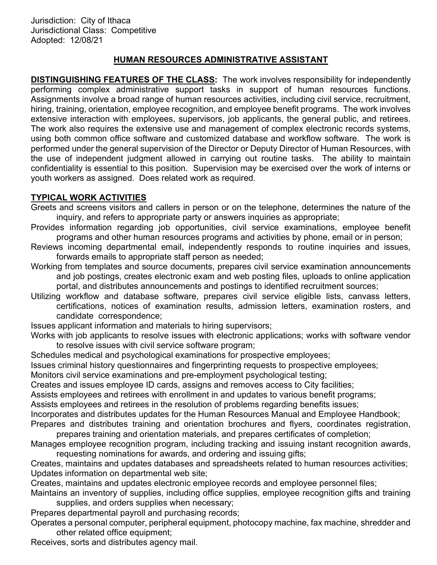# HUMAN RESOURCES ADMINISTRATIVE ASSISTANT

DISTINGUISHING FEATURES OF THE CLASS: The work involves responsibility for independently performing complex administrative support tasks in support of human resources functions. Assignments involve a broad range of human resources activities, including civil service, recruitment, hiring, training, orientation, employee recognition, and employee benefit programs. The work involves extensive interaction with employees, supervisors, job applicants, the general public, and retirees. The work also requires the extensive use and management of complex electronic records systems, using both common office software and customized database and workflow software. The work is performed under the general supervision of the Director or Deputy Director of Human Resources, with the use of independent judgment allowed in carrying out routine tasks. The ability to maintain confidentiality is essential to this position. Supervision may be exercised over the work of interns or youth workers as assigned. Does related work as required.

#### TYPICAL WORK ACTIVITIES

- Greets and screens visitors and callers in person or on the telephone, determines the nature of the inquiry, and refers to appropriate party or answers inquiries as appropriate;
- Provides information regarding job opportunities, civil service examinations, employee benefit programs and other human resources programs and activities by phone, email or in person;
- Reviews incoming departmental email, independently responds to routine inquiries and issues, forwards emails to appropriate staff person as needed;
- Working from templates and source documents, prepares civil service examination announcements and job postings, creates electronic exam and web posting files, uploads to online application portal, and distributes announcements and postings to identified recruitment sources;
- Utilizing workflow and database software, prepares civil service eligible lists, canvass letters, certifications, notices of examination results, admission letters, examination rosters, and candidate correspondence;
- Issues applicant information and materials to hiring supervisors;
- Works with job applicants to resolve issues with electronic applications; works with software vendor to resolve issues with civil service software program;
- Schedules medical and psychological examinations for prospective employees;
- Issues criminal history questionnaires and fingerprinting requests to prospective employees;
- Monitors civil service examinations and pre-employment psychological testing;
- Creates and issues employee ID cards, assigns and removes access to City facilities;
- Assists employees and retirees with enrollment in and updates to various benefit programs;
- Assists employees and retirees in the resolution of problems regarding benefits issues;
- Incorporates and distributes updates for the Human Resources Manual and Employee Handbook; Prepares and distributes training and orientation brochures and flyers, coordinates registration,
- prepares training and orientation materials, and prepares certificates of completion;
- Manages employee recognition program, including tracking and issuing instant recognition awards, requesting nominations for awards, and ordering and issuing gifts;
- Creates, maintains and updates databases and spreadsheets related to human resources activities; Updates information on departmental web site;
- Creates, maintains and updates electronic employee records and employee personnel files;
- Maintains an inventory of supplies, including office supplies, employee recognition gifts and training supplies, and orders supplies when necessary;
- Prepares departmental payroll and purchasing records;
- Operates a personal computer, peripheral equipment, photocopy machine, fax machine, shredder and other related office equipment;
- Receives, sorts and distributes agency mail.